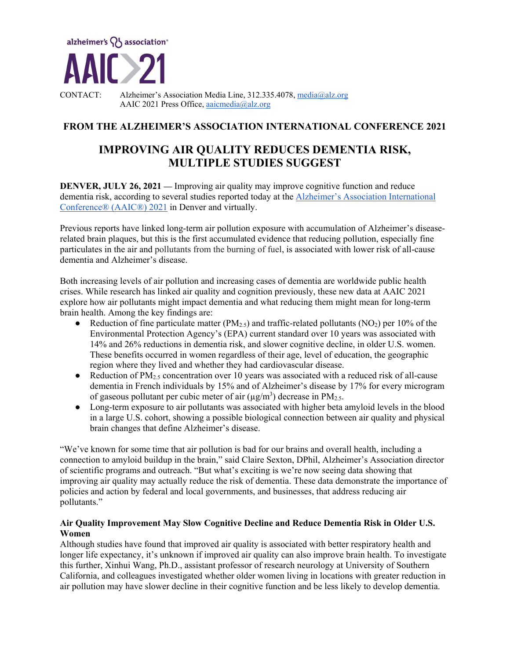

CONTACT: Alzheimer's Association Media Line, 312.335.4078, media@alz.org AAIC 2021 Press Office, aaicmedia@alz.org

# **FROM THE ALZHEIMER'S ASSOCIATION INTERNATIONAL CONFERENCE 2021**

# **IMPROVING AIR QUALITY REDUCES DEMENTIA RISK, MULTIPLE STUDIES SUGGEST**

**DENVER, JULY 26, 2021** — Improving air quality may improve cognitive function and reduce dementia risk, according to several studies reported today at the Alzheimer's Association International Conference® (AAIC®) 2021 in Denver and virtually.

Previous reports have linked long-term air pollution exposure with accumulation of Alzheimer's diseaserelated brain plaques, but this is the first accumulated evidence that reducing pollution, especially fine particulates in the air and pollutants from the burning of fuel, is associated with lower risk of all-cause dementia and Alzheimer's disease.

Both increasing levels of air pollution and increasing cases of dementia are worldwide public health crises. While research has linked air quality and cognition previously, these new data at AAIC 2021 explore how air pollutants might impact dementia and what reducing them might mean for long-term brain health. Among the key findings are:

- Reduction of fine particulate matter ( $PM_{2.5}$ ) and traffic-related pollutants (NO<sub>2</sub>) per 10% of the Environmental Protection Agency's (EPA) current standard over 10 years was associated with 14% and 26% reductions in dementia risk, and slower cognitive decline, in older U.S. women. These benefits occurred in women regardless of their age, level of education, the geographic region where they lived and whether they had cardiovascular disease.
- Reduction of  $PM_{2.5}$  concentration over 10 years was associated with a reduced risk of all-cause dementia in French individuals by 15% and of Alzheimer's disease by 17% for every microgram of gaseous pollutant per cubic meter of air ( $\mu$ g/m<sup>3</sup>) decrease in PM<sub>2.5</sub>.
- Long-term exposure to air pollutants was associated with higher beta amyloid levels in the blood in a large U.S. cohort, showing a possible biological connection between air quality and physical brain changes that define Alzheimer's disease.

"We've known for some time that air pollution is bad for our brains and overall health, including a connection to amyloid buildup in the brain," said Claire Sexton, DPhil, Alzheimer's Association director of scientific programs and outreach. "But what's exciting is we're now seeing data showing that improving air quality may actually reduce the risk of dementia. These data demonstrate the importance of policies and action by federal and local governments, and businesses, that address reducing air pollutants."

# **Air Quality Improvement May Slow Cognitive Decline and Reduce Dementia Risk in Older U.S. Women**

Although studies have found that improved air quality is associated with better respiratory health and longer life expectancy, it's unknown if improved air quality can also improve brain health. To investigate this further, Xinhui Wang, Ph.D., assistant professor of research neurology at University of Southern California, and colleagues investigated whether older women living in locations with greater reduction in air pollution may have slower decline in their cognitive function and be less likely to develop dementia.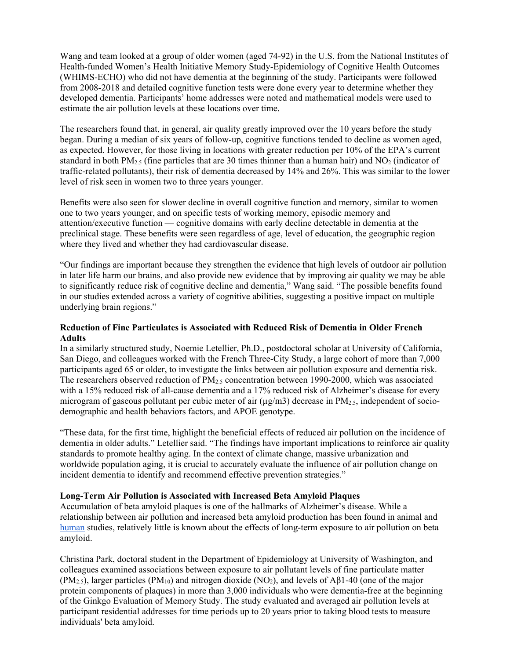Wang and team looked at a group of older women (aged 74-92) in the U.S. from the National Institutes of Health-funded Women's Health Initiative Memory Study-Epidemiology of Cognitive Health Outcomes (WHIMS-ECHO) who did not have dementia at the beginning of the study. Participants were followed from 2008-2018 and detailed cognitive function tests were done every year to determine whether they developed dementia. Participants' home addresses were noted and mathematical models were used to estimate the air pollution levels at these locations over time.

The researchers found that, in general, air quality greatly improved over the 10 years before the study began. During a median of six years of follow-up, cognitive functions tended to decline as women aged, as expected. However, for those living in locations with greater reduction per 10% of the EPA's current standard in both  $PM_{2.5}$  (fine particles that are 30 times thinner than a human hair) and  $NO_2$  (indicator of traffic-related pollutants), their risk of dementia decreased by 14% and 26%. This was similar to the lower level of risk seen in women two to three years younger.

Benefits were also seen for slower decline in overall cognitive function and memory, similar to women one to two years younger, and on specific tests of working memory, episodic memory and attention/executive function — cognitive domains with early decline detectable in dementia at the preclinical stage. These benefits were seen regardless of age, level of education, the geographic region where they lived and whether they had cardiovascular disease.

"Our findings are important because they strengthen the evidence that high levels of outdoor air pollution in later life harm our brains, and also provide new evidence that by improving air quality we may be able to significantly reduce risk of cognitive decline and dementia," Wang said. "The possible benefits found in our studies extended across a variety of cognitive abilities, suggesting a positive impact on multiple underlying brain regions."

#### **Reduction of Fine Particulates is Associated with Reduced Risk of Dementia in Older French Adults**

In a similarly structured study, Noemie Letellier, Ph.D., postdoctoral scholar at University of California, San Diego, and colleagues worked with the French Three-City Study, a large cohort of more than 7,000 participants aged 65 or older, to investigate the links between air pollution exposure and dementia risk. The researchers observed reduction of PM2.5 concentration between 1990-2000, which was associated with a 15% reduced risk of all-cause dementia and a 17% reduced risk of Alzheimer's disease for every microgram of gaseous pollutant per cubic meter of air  $(\mu g/m3)$  decrease in PM<sub>2.5</sub>, independent of sociodemographic and health behaviors factors, and APOE genotype.

"These data, for the first time, highlight the beneficial effects of reduced air pollution on the incidence of dementia in older adults." Letellier said. "The findings have important implications to reinforce air quality standards to promote healthy aging. In the context of climate change, massive urbanization and worldwide population aging, it is crucial to accurately evaluate the influence of air pollution change on incident dementia to identify and recommend effective prevention strategies."

#### **Long-Term Air Pollution is Associated with Increased Beta Amyloid Plaques**

Accumulation of beta amyloid plaques is one of the hallmarks of Alzheimer's disease. While a relationship between air pollution and increased beta amyloid production has been found in animal and human studies, relatively little is known about the effects of long-term exposure to air pollution on beta amyloid.

Christina Park, doctoral student in the Department of Epidemiology at University of Washington, and colleagues examined associations between exposure to air pollutant levels of fine particulate matter (PM<sub>2.5</sub>), larger particles (PM<sub>10</sub>) and nitrogen dioxide (NO<sub>2</sub>), and levels of A $\beta$ 1-40 (one of the major protein components of plaques) in more than 3,000 individuals who were dementia-free at the beginning of the Ginkgo Evaluation of Memory Study. The study evaluated and averaged air pollution levels at participant residential addresses for time periods up to 20 years prior to taking blood tests to measure individuals' beta amyloid.